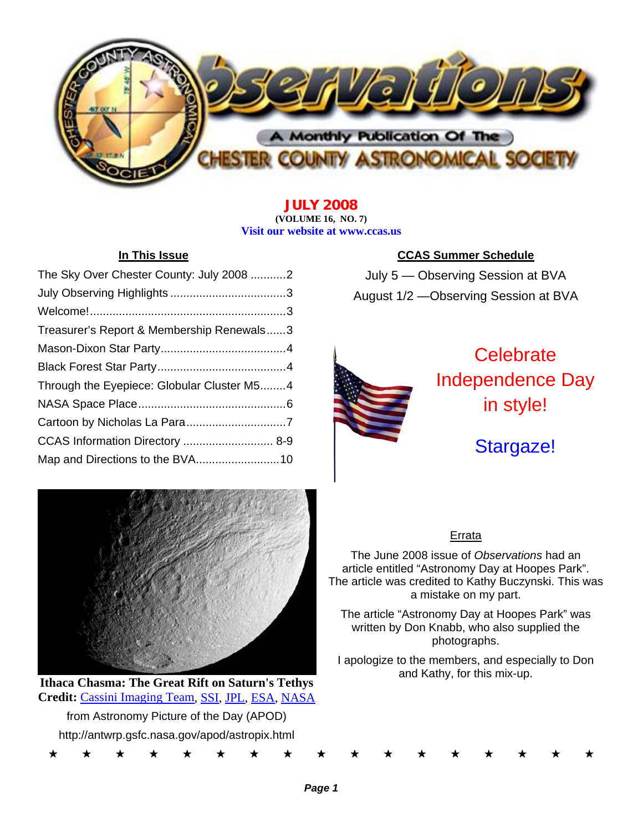

**JULY 2008 (VOLUME 16, NO. 7) Visit our website at www.ccas.us** 

| The Sky Over Chester County: July 2008 2   |  |
|--------------------------------------------|--|
|                                            |  |
|                                            |  |
| Treasurer's Report & Membership Renewals3  |  |
|                                            |  |
|                                            |  |
| Through the Eyepiece: Globular Cluster M54 |  |
|                                            |  |
|                                            |  |
| CCAS Information Directory  8-9            |  |
| Map and Directions to the BVA10            |  |



**Ithaca Chasma: The Great Rift on Saturn's Tethys Credit:** Cassini Imaging Team, SSI, JPL, ESA, NASA from Astronomy Picture of the Day (APOD) http://antwrp.gsfc.nasa.gov/apod/astropix.html

# **In This Issue CCAS Summer Schedule**

July 5 — Observing Session at BVA August 1/2 —Observing Session at BVA



**Celebrate** Independence Day in style!

# Stargaze!

# Errata

The June 2008 issue of *Observations* had an article entitled "Astronomy Day at Hoopes Park". The article was credited to Kathy Buczynski. This was a mistake on my part.

The article "Astronomy Day at Hoopes Park" was written by Don Knabb, who also supplied the photographs.

I apologize to the members, and especially to Don and Kathy, for this mix-up.

\* \* \* \* \* \* \* \* \* \* \* \* \* \* \* \* \*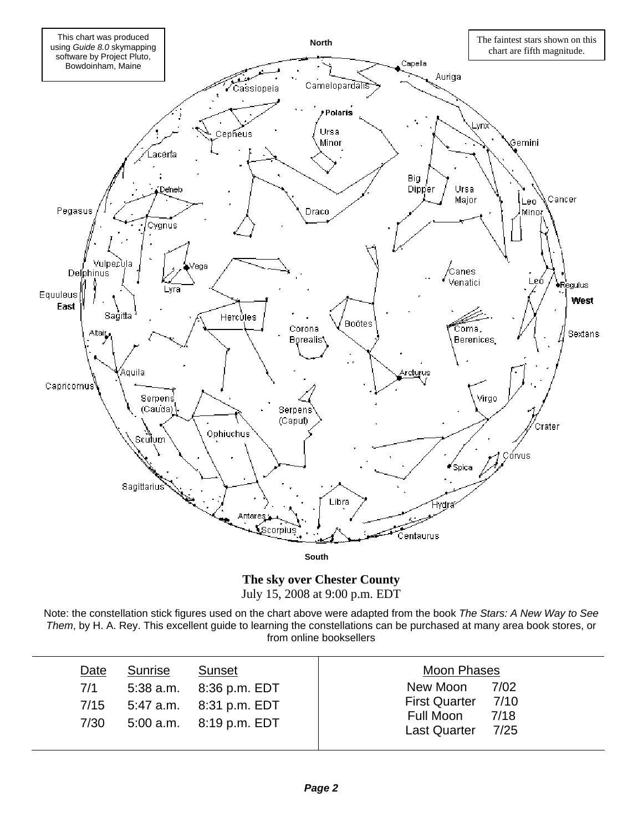

**The sky over Chester County**  July 15, 2008 at 9:00 p.m. EDT

Note: the constellation stick figures used on the chart above were adapted from the book *The Stars: A New Way to See Them*, by H. A. Rey. This excellent guide to learning the constellations can be purchased at many area book stores, or from online booksellers

| Date<br>7/1<br>7/15 | Sunrise | Sunset<br>5:38 a.m. 8:36 p.m. EDT<br>5:47 a.m. 8:31 p.m. EDT | Moon Phases<br>New Moon<br>First Quarter 7/10<br>Full Moon | 7/02<br>7/18 |
|---------------------|---------|--------------------------------------------------------------|------------------------------------------------------------|--------------|
| 7/30                |         | 5:00 a.m. 8:19 p.m. EDT                                      | <b>Last Quarter</b>                                        | 7/25         |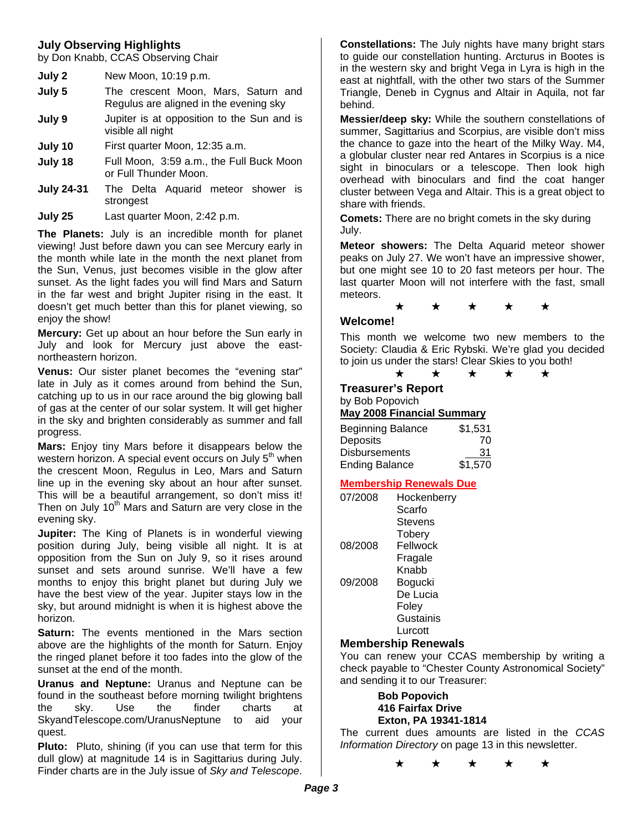# **July Observing Highlights**

by Don Knabb, CCAS Observing Chair

| July 2 | New Moon, 10:19 p.m. |  |
|--------|----------------------|--|
|--------|----------------------|--|

- **July 5** The crescent Moon, Mars, Saturn and Regulus are aligned in the evening sky
- **July 9** Jupiter is at opposition to the Sun and is visible all night
- **July 10** First quarter Moon, 12:35 a.m.
- **July 18** Full Moon, 3:59 a.m., the Full Buck Moon or Full Thunder Moon.
- **July 24-31** The Delta Aquarid meteor shower is strongest
- **July 25** Last quarter Moon, 2:42 p.m.

**The Planets:** July is an incredible month for planet viewing! Just before dawn you can see Mercury early in the month while late in the month the next planet from the Sun, Venus, just becomes visible in the glow after sunset. As the light fades you will find Mars and Saturn in the far west and bright Jupiter rising in the east. It doesn't get much better than this for planet viewing, so enjoy the show!

**Mercury:** Get up about an hour before the Sun early in July and look for Mercury just above the eastnortheastern horizon.

**Venus:** Our sister planet becomes the "evening star" late in July as it comes around from behind the Sun, catching up to us in our race around the big glowing ball of gas at the center of our solar system. It will get higher in the sky and brighten considerably as summer and fall progress.

**Mars:** Enjoy tiny Mars before it disappears below the western horizon. A special event occurs on July 5<sup>th</sup> when the crescent Moon, Regulus in Leo, Mars and Saturn line up in the evening sky about an hour after sunset. This will be a beautiful arrangement, so don't miss it! Then on July  $10<sup>th</sup>$  Mars and Saturn are very close in the evening sky.

**Jupiter:** The King of Planets is in wonderful viewing position during July, being visible all night. It is at opposition from the Sun on July 9, so it rises around sunset and sets around sunrise. We'll have a few months to enjoy this bright planet but during July we have the best view of the year. Jupiter stays low in the sky, but around midnight is when it is highest above the horizon.

**Saturn:** The events mentioned in the Mars section above are the highlights of the month for Saturn. Enjoy the ringed planet before it too fades into the glow of the sunset at the end of the month.

**Uranus and Neptune:** Uranus and Neptune can be found in the southeast before morning twilight brightens the sky. Use the finder charts at SkyandTelescope.com/UranusNeptune to aid your quest.

**Pluto:** Pluto, shining (if you can use that term for this dull glow) at magnitude 14 is in Sagittarius during July. Finder charts are in the July issue of *Sky and Telescope*.

**Constellations:** The July nights have many bright stars to guide our constellation hunting. Arcturus in Bootes is in the western sky and bright Vega in Lyra is high in the east at nightfall, with the other two stars of the Summer Triangle, Deneb in Cygnus and Altair in Aquila, not far behind.

**Messier/deep sky:** While the southern constellations of summer, Sagittarius and Scorpius, are visible don't miss the chance to gaze into the heart of the Milky Way. M4, a globular cluster near red Antares in Scorpius is a nice sight in binoculars or a telescope. Then look high overhead with binoculars and find the coat hanger cluster between Vega and Altair. This is a great object to share with friends.

**Comets:** There are no bright comets in the sky during July.

**Meteor showers:** The Delta Aquarid meteor shower peaks on July 27. We won't have an impressive shower, but one might see 10 to 20 fast meteors per hour. The last quarter Moon will not interfere with the fast, small meteors.

# ★ ★ ★ ★ ★

#### **Welcome!**

This month we welcome two new members to the Society: Claudia & Eric Rybski. We're glad you decided to join us under the stars! Clear Skies to you both!

#### ★ ★ ★ ★ ★ **Treasurer's Report**

by Bob Popovich

#### **May 2008 Financial Summary**

| <b>Beginning Balance</b> | \$1,531 |
|--------------------------|---------|
| Deposits                 | 70      |
| <b>Disbursements</b>     | 31      |
| <b>Ending Balance</b>    | \$1,570 |

### **Membership Renewals Due**

| 07/2008 | Hockenberry   |
|---------|---------------|
|         | Scarfo        |
|         | Stevens       |
|         | <b>Tobery</b> |
| 08/2008 | Fellwock      |
|         | Fragale       |
|         | Knahh         |
| 09/2008 | Bogucki       |
|         | De Lucia      |
|         | Foley         |
|         | Gustainis     |
|         | Lurcott       |

# **Membership Renewals**

You can renew your CCAS membership by writing a check payable to "Chester County Astronomical Society" and sending it to our Treasurer:

#### **Bob Popovich 416 Fairfax Drive Exton, PA 19341-1814**

The current dues amounts are listed in the *CCAS Information Directory* on page 13 in this newsletter.

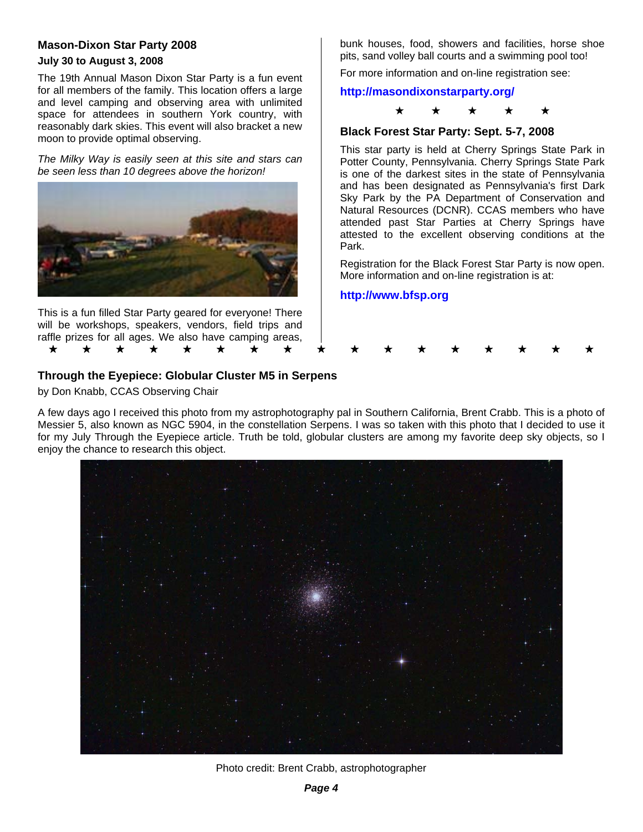# **Mason-Dixon Star Party 2008**

### **July 30 to August 3, 2008**

The 19th Annual Mason Dixon Star Party is a fun event for all members of the family. This location offers a large and level camping and observing area with unlimited space for attendees in southern York country, with reasonably dark skies. This event will also bracket a new moon to provide optimal observing.

*The Milky Way is easily seen at this site and stars can be seen less than 10 degrees above the horizon!* 



This is a fun filled Star Party geared for everyone! There will be workshops, speakers, vendors, field trips and raffle prizes for all ages. We also have camping areas, bunk houses, food, showers and facilities, horse shoe pits, sand volley ball courts and a swimming pool too!

For more information and on-line registration see:

# **http://masondixonstarparty.org/**



### **Black Forest Star Party: Sept. 5-7, 2008**

This star party is held at Cherry Springs State Park in Potter County, Pennsylvania. Cherry Springs State Park is one of the darkest sites in the state of Pennsylvania and has been designated as Pennsylvania's first Dark Sky Park by the PA Department of Conservation and Natural Resources (DCNR). CCAS members who have attended past Star Parties at Cherry Springs have attested to the excellent observing conditions at the Park.

Registration for the Black Forest Star Party is now open. More information and on-line registration is at:

# **http://www.bfsp.org**



# **Through the Eyepiece: Globular Cluster M5 in Serpens**

by Don Knabb, CCAS Observing Chair

A few days ago I received this photo from my astrophotography pal in Southern California, Brent Crabb. This is a photo of Messier 5, also known as NGC 5904, in the constellation Serpens. I was so taken with this photo that I decided to use it for my July Through the Eyepiece article. Truth be told, globular clusters are among my favorite deep sky objects, so I enjoy the chance to research this object.



Photo credit: Brent Crabb, astrophotographer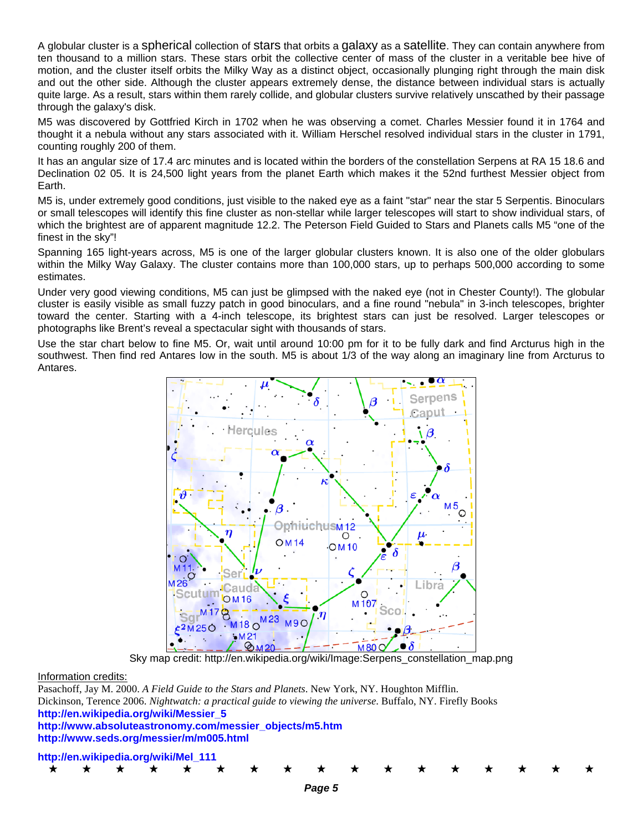A globular cluster is a spherical collection of stars that orbits a galaxy as a satellite. They can contain anywhere from ten thousand to a million stars. These stars orbit the collective center of mass of the cluster in a veritable bee hive of motion, and the cluster itself orbits the Milky Way as a distinct object, occasionally plunging right through the main disk and out the other side. Although the cluster appears extremely dense, the distance between individual stars is actually quite large. As a result, stars within them rarely collide, and globular clusters survive relatively unscathed by their passage through the galaxy's disk.

M5 was discovered by Gottfried Kirch in 1702 when he was observing a comet. Charles Messier found it in 1764 and thought it a nebula without any stars associated with it. William Herschel resolved individual stars in the cluster in 1791, counting roughly 200 of them.

It has an angular size of 17.4 arc minutes and is located within the borders of the constellation Serpens at RA 15 18.6 and Declination 02 05. It is 24,500 light years from the planet Earth which makes it the 52nd furthest Messier object from Earth.

M5 is, under extremely good conditions, just visible to the naked eye as a faint "star" near the star 5 Serpentis. Binoculars or small telescopes will identify this fine cluster as non-stellar while larger telescopes will start to show individual stars, of which the brightest are of apparent magnitude 12.2. The Peterson Field Guided to Stars and Planets calls M5 "one of the finest in the sky"!

Spanning 165 light-years across, M5 is one of the larger globular clusters known. It is also one of the older globulars within the Milky Way Galaxy. The cluster contains more than 100,000 stars, up to perhaps 500,000 according to some estimates.

Under very good viewing conditions, M5 can just be glimpsed with the naked eye (not in Chester County!). The globular cluster is easily visible as small fuzzy patch in good binoculars, and a fine round "nebula" in 3-inch telescopes, brighter toward the center. Starting with a 4-inch telescope, its brightest stars can just be resolved. Larger telescopes or photographs like Brent's reveal a spectacular sight with thousands of stars.

Use the star chart below to fine M5. Or, wait until around 10:00 pm for it to be fully dark and find Arcturus high in the southwest. Then find red Antares low in the south. M5 is about 1/3 of the way along an imaginary line from Arcturus to Antares.



Sky map credit: http://en.wikipedia.org/wiki/Image:Serpens\_constellation\_map.png

\* \* \* \* \* \* \* \* \* \* \* \* \* \* \* \* \*

#### Information credits:

Pasachoff, Jay M. 2000. *A Field Guide to the Stars and Planets*. New York, NY. Houghton Mifflin. Dickinson, Terence 2006. *Nightwatch: a practical guide to viewing the universe*. Buffalo, NY. Firefly Books **http://en.wikipedia.org/wiki/Messier\_5 http://www.absoluteastronomy.com/messier\_objects/m5.htm** 

**http://www.seds.org/messier/m/m005.html** 

#### **http://en.wikipedia.org/wiki/Mel\_111**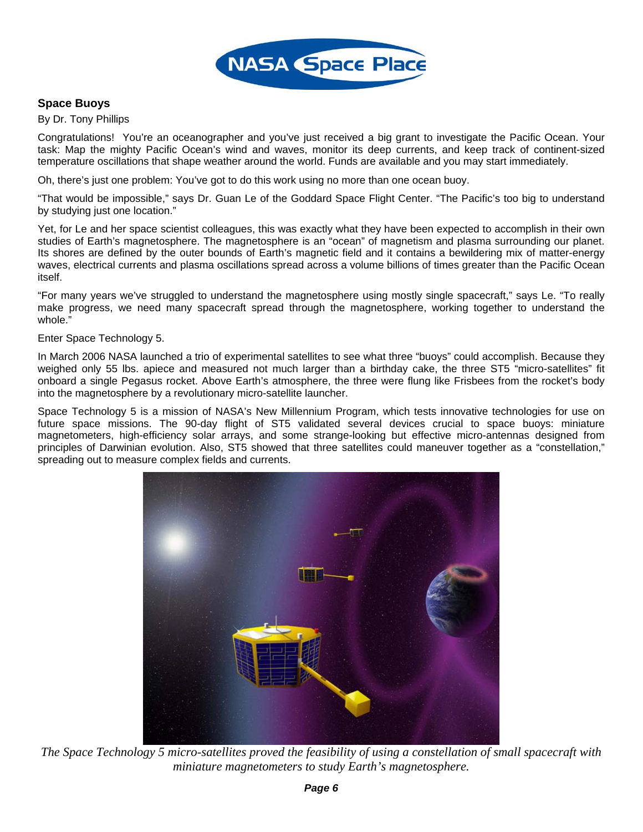

# **Space Buoys**

#### By Dr. Tony Phillips

Congratulations! You're an oceanographer and you've just received a big grant to investigate the Pacific Ocean. Your task: Map the mighty Pacific Ocean's wind and waves, monitor its deep currents, and keep track of continent-sized temperature oscillations that shape weather around the world. Funds are available and you may start immediately.

Oh, there's just one problem: You've got to do this work using no more than one ocean buoy.

"That would be impossible," says Dr. Guan Le of the Goddard Space Flight Center. "The Pacific's too big to understand by studying just one location."

Yet, for Le and her space scientist colleagues, this was exactly what they have been expected to accomplish in their own studies of Earth's magnetosphere. The magnetosphere is an "ocean" of magnetism and plasma surrounding our planet. Its shores are defined by the outer bounds of Earth's magnetic field and it contains a bewildering mix of matter-energy waves, electrical currents and plasma oscillations spread across a volume billions of times greater than the Pacific Ocean itself.

"For many years we've struggled to understand the magnetosphere using mostly single spacecraft," says Le. "To really make progress, we need many spacecraft spread through the magnetosphere, working together to understand the whole."

Enter Space Technology 5.

In March 2006 NASA launched a trio of experimental satellites to see what three "buoys" could accomplish. Because they weighed only 55 lbs. apiece and measured not much larger than a birthday cake, the three ST5 "micro-satellites" fit onboard a single Pegasus rocket. Above Earth's atmosphere, the three were flung like Frisbees from the rocket's body into the magnetosphere by a revolutionary micro-satellite launcher.

Space Technology 5 is a mission of NASA's New Millennium Program, which tests innovative technologies for use on future space missions. The 90-day flight of ST5 validated several devices crucial to space buoys: miniature magnetometers, high-efficiency solar arrays, and some strange-looking but effective micro-antennas designed from principles of Darwinian evolution. Also, ST5 showed that three satellites could maneuver together as a "constellation," spreading out to measure complex fields and currents.



*The Space Technology 5 micro-satellites proved the feasibility of using a constellation of small spacecraft with miniature magnetometers to study Earth's magnetosphere.*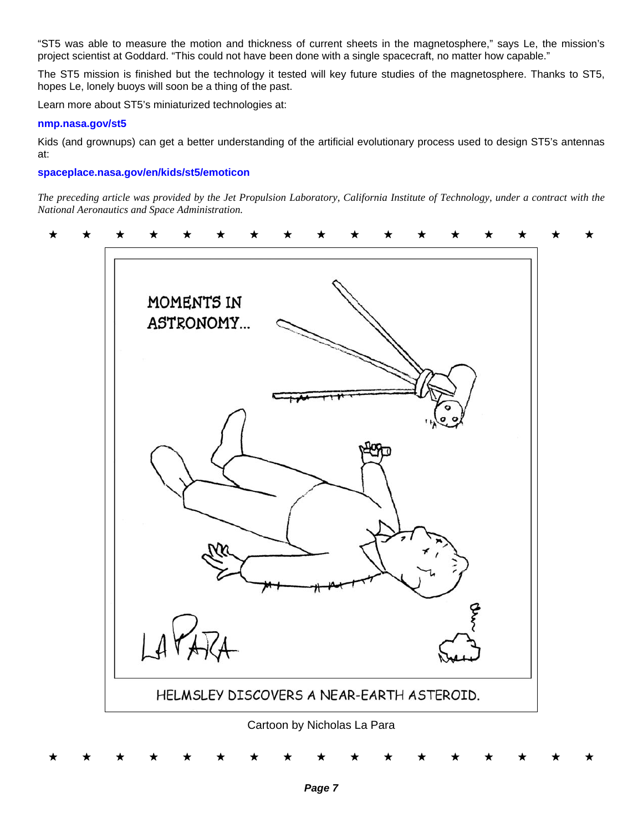"ST5 was able to measure the motion and thickness of current sheets in the magnetosphere," says Le, the mission's project scientist at Goddard. "This could not have been done with a single spacecraft, no matter how capable."

The ST5 mission is finished but the technology it tested will key future studies of the magnetosphere. Thanks to ST5, hopes Le, lonely buoys will soon be a thing of the past.

Learn more about ST5's miniaturized technologies at:

#### **nmp.nasa.gov/st5**

Kids (and grownups) can get a better understanding of the artificial evolutionary process used to design ST5's antennas at:

# **spaceplace.nasa.gov/en/kids/st5/emoticon**

*The preceding article was provided by the Jet Propulsion Laboratory, California Institute of Technology, under a contract with the National Aeronautics and Space Administration.* 

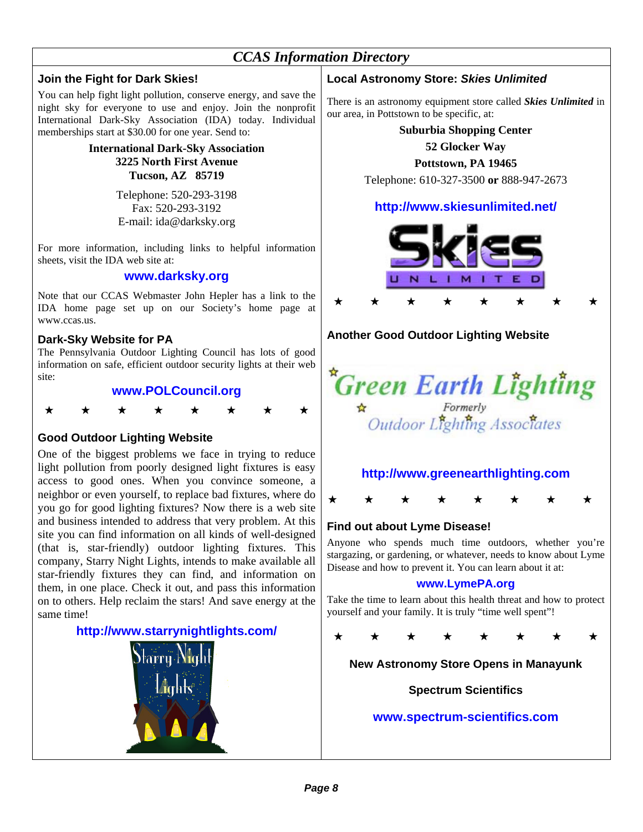# *CCAS Information Directory*

# **Join the Fight for Dark Skies!**

You can help fight light pollution, conserve energy, and save the night sky for everyone to use and enjoy. Join the nonprofit International Dark-Sky Association (IDA) today. Individual memberships start at \$30.00 for one year. Send to:

> **International Dark-Sky Association 3225 North First Avenue Tucson, AZ 85719**

> > Telephone: 520-293-3198 Fax: 520-293-3192 E-mail: ida@darksky.org

For more information, including links to helpful information sheets, visit the IDA web site at:

# **www.darksky.org**

Note that our CCAS Webmaster John Hepler has a link to the IDA home page set up on our Society's home page at www.ccas.us.

# **Dark-Sky Website for PA**

The Pennsylvania Outdoor Lighting Council has lots of good information on safe, efficient outdoor security lights at their web site:

# **www.POLCouncil.org**



# **Good Outdoor Lighting Website**

One of the biggest problems we face in trying to reduce light pollution from poorly designed light fixtures is easy access to good ones. When you convince someone, a neighbor or even yourself, to replace bad fixtures, where do you go for good lighting fixtures? Now there is a web site and business intended to address that very problem. At this site you can find information on all kinds of well-designed (that is, star-friendly) outdoor lighting fixtures. This company, Starry Night Lights, intends to make available all star-friendly fixtures they can find, and information on them, in one place. Check it out, and pass this information on to others. Help reclaim the stars! And save energy at the same time!

# **http://www.starrynightlights.com/**



# **Local Astronomy Store:** *Skies Unlimited*

There is an astronomy equipment store called *Skies Unlimited* in our area, in Pottstown to be specific, at:

# **Suburbia Shopping Center**

**52 Glocker Way** 

**Pottstown, PA 19465** 

Telephone: 610-327-3500 **or** 888-947-2673

# **http://www.skiesunlimited.net/**



# **Another Good Outdoor Lighting Website**



# **http://www.greenearthlighting.com**



# **Find out about Lyme Disease!**

Anyone who spends much time outdoors, whether you're stargazing, or gardening, or whatever, needs to know about Lyme Disease and how to prevent it. You can learn about it at:

# **www.LymePA.org**

Take the time to learn about this health threat and how to protect yourself and your family. It is truly "time well spent"!

\* \* \* \* \* \* \* \* \*

# **New Astronomy Store Opens in Manayunk**

# **Spectrum Scientifics**

# **www.spectrum-scientifics.com**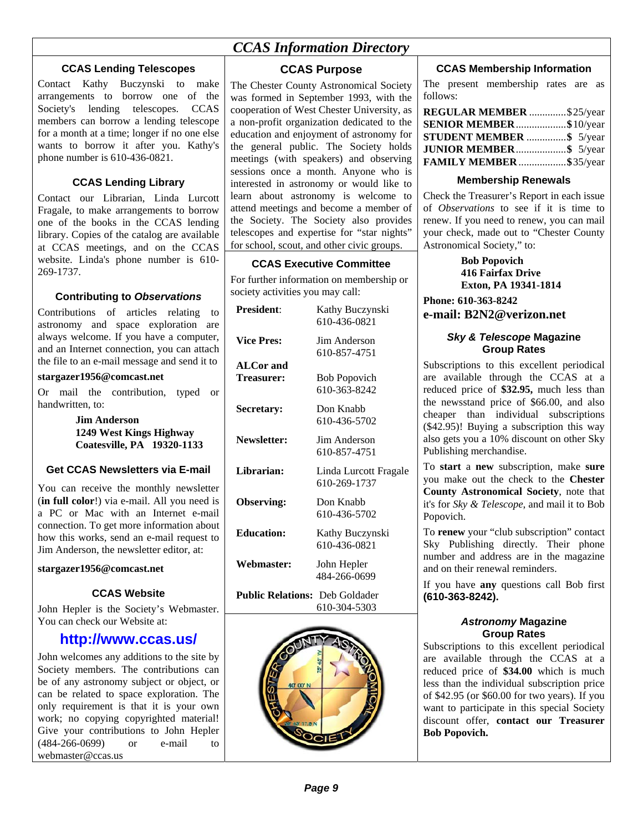# *CCAS Information Directory*

# **CCAS Lending Telescopes**

Contact Kathy Buczynski to make arrangements to borrow one of the Society's lending telescopes. CCAS members can borrow a lending telescope for a month at a time; longer if no one else wants to borrow it after you. Kathy's phone number is 610-436-0821.

# **CCAS Lending Library**

Contact our Librarian, Linda Lurcott Fragale, to make arrangements to borrow one of the books in the CCAS lending library. Copies of the catalog are available at CCAS meetings, and on the CCAS website. Linda's phone number is 610- 269-1737.

# **Contributing to** *Observations*

Contributions of articles relating to astronomy and space exploration are always welcome. If you have a computer, and an Internet connection, you can attach the file to an e-mail message and send it to

#### **stargazer1956@comcast.net**

Or mail the contribution, typed or handwritten, to:

#### **Jim Anderson 1249 West Kings Highway Coatesville, PA 19320-1133**

# **Get CCAS Newsletters via E-mail**

You can receive the monthly newsletter (**in full color**!) via e-mail. All you need is a PC or Mac with an Internet e-mail connection. To get more information about how this works, send an e-mail request to Jim Anderson, the newsletter editor, at:

#### **stargazer1956@comcast.net**

#### **CCAS Website**

John Hepler is the Society's Webmaster. You can check our Website at:

# **http://www.ccas.us/**

John welcomes any additions to the site by Society members. The contributions can be of any astronomy subject or object, or can be related to space exploration. The only requirement is that it is your own work; no copying copyrighted material! Give your contributions to John Hepler (484-266-0699) or e-mail to webmaster@ccas.us

# **CCAS Purpose**

The Chester County Astronomical Society was formed in September 1993, with the cooperation of West Chester University, as a non-profit organization dedicated to the education and enjoyment of astronomy for the general public. The Society holds meetings (with speakers) and observing sessions once a month. Anyone who is interested in astronomy or would like to learn about astronomy is welcome to attend meetings and become a member of the Society. The Society also provides telescopes and expertise for "star nights" for school, scout, and other civic groups.

### **CCAS Executive Committee**

For further information on membership or society activities you may call:

| <b>President:</b>                     | Kathy Buczynski<br>610-436-0821       |
|---------------------------------------|---------------------------------------|
| <b>Vice Pres:</b>                     | Jim Anderson<br>610-857-4751          |
| <b>ALCor and</b>                      |                                       |
| <b>Treasurer:</b>                     | <b>Bob Popovich</b><br>610-363-8242   |
| Secretary:                            | Don Knabb<br>610-436-5702             |
| Newsletter:                           | Jim Anderson<br>610-857-4751          |
| Librarian:                            | Linda Lurcott Fragale<br>610-269-1737 |
| Observing:                            | Don Knabb<br>610-436-5702             |
| <b>Education:</b>                     | Kathy Buczynski<br>610-436-0821       |
| Webmaster:                            | John Hepler<br>484-266-0699           |
| <b>Public Relations:</b> Deb Goldader |                                       |

610-304-5303



### **CCAS Membership Information**

The present membership rates are as follows:

| REGULAR MEMBER \$25/year |  |
|--------------------------|--|
| SENIOR MEMBER\$10/year   |  |
| STUDENT MEMBER \$ 5/year |  |
| JUNIOR MEMBER\$ 5/year   |  |
| FAMILY MEMBER \$35/year  |  |

#### **Membership Renewals**

Check the Treasurer's Report in each issue of *Observations* to see if it is time to renew. If you need to renew, you can mail your check, made out to "Chester County Astronomical Society," to:

> **Bob Popovich 416 Fairfax Drive Exton, PA 19341-1814**

**Phone: 610-363-8242 e-mail: B2N2@verizon.net**

#### *Sky & Telescope* **Magazine Group Rates**

Subscriptions to this excellent periodical are available through the CCAS at a reduced price of **\$32.95,** much less than the newsstand price of \$66.00, and also cheaper than individual subscriptions (\$42.95)! Buying a subscription this way also gets you a 10% discount on other Sky Publishing merchandise.

To **start** a **new** subscription, make **sure** you make out the check to the **Chester County Astronomical Society**, note that it's for *Sky & Telescope*, and mail it to Bob Popovich.

To **renew** your "club subscription" contact Sky Publishing directly. Their phone number and address are in the magazine and on their renewal reminders.

If you have **any** questions call Bob first **(610-363-8242).**

#### *Astronomy* **Magazine Group Rates**

Subscriptions to this excellent periodical are available through the CCAS at a reduced price of **\$34.00** which is much less than the individual subscription price of \$42.95 (or \$60.00 for two years). If you want to participate in this special Society discount offer, **contact our Treasurer Bob Popovich.**